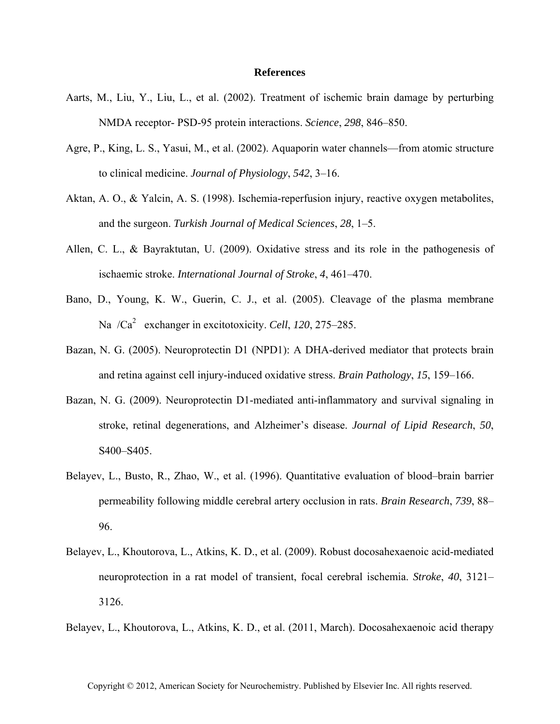## **References**

- Aarts, M., Liu, Y., Liu, L., et al. (2002). Treatment of ischemic brain damage by perturbing NMDA receptor- PSD-95 protein interactions. *Science*, *298*, 846–850.
- Agre, P., King, L. S., Yasui, M., et al. (2002). Aquaporin water channels—from atomic structure to clinical medicine. *Journal of Physiology*, *542*, 3–16.
- Aktan, A. O., & Yalcin, A. S. (1998). Ischemia-reperfusion injury, reactive oxygen metabolites, and the surgeon. *Turkish Journal of Medical Sciences*, *28*, 1–5.
- Allen, C. L., & Bayraktutan, U. (2009). Oxidative stress and its role in the pathogenesis of ischaemic stroke. *International Journal of Stroke*, *4*, 461–470.
- Bano, D., Young, K. W., Guerin, C. J., et al. (2005). Cleavage of the plasma membrane Na /Ca<sup>2</sup> exchanger in excitotoxicity. *Cell*, 120, 275–285.
- Bazan, N. G. (2005). Neuroprotectin D1 (NPD1): A DHA-derived mediator that protects brain and retina against cell injury-induced oxidative stress. *Brain Pathology*, *15*, 159–166.
- Bazan, N. G. (2009). Neuroprotectin D1-mediated anti-inflammatory and survival signaling in stroke, retinal degenerations, and Alzheimer's disease. *Journal of Lipid Research*, *50*, S400–S405.
- Belayev, L., Busto, R., Zhao, W., et al. (1996). Quantitative evaluation of blood–brain barrier permeability following middle cerebral artery occlusion in rats. *Brain Research*, *739*, 88– 96.
- Belayev, L., Khoutorova, L., Atkins, K. D., et al. (2009). Robust docosahexaenoic acid-mediated neuroprotection in a rat model of transient, focal cerebral ischemia. *Stroke*, *40*, 3121– 3126.
- Belayev, L., Khoutorova, L., Atkins, K. D., et al. (2011, March). Docosahexaenoic acid therapy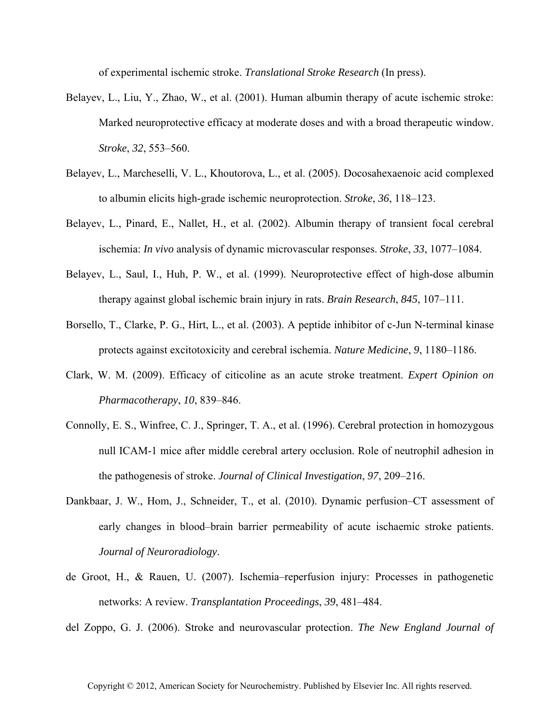of experimental ischemic stroke. *Translational Stroke Research* (In press).

- Belayev, L., Liu, Y., Zhao, W., et al. (2001). Human albumin therapy of acute ischemic stroke: Marked neuroprotective efficacy at moderate doses and with a broad therapeutic window. *Stroke*, *32*, 553–560.
- Belayev, L., Marcheselli, V. L., Khoutorova, L., et al. (2005). Docosahexaenoic acid complexed to albumin elicits high-grade ischemic neuroprotection. *Stroke*, *36*, 118–123.
- Belayev, L., Pinard, E., Nallet, H., et al. (2002). Albumin therapy of transient focal cerebral ischemia: *In vivo* analysis of dynamic microvascular responses. *Stroke*, *33*, 1077–1084.
- Belayev, L., Saul, I., Huh, P. W., et al. (1999). Neuroprotective effect of high-dose albumin therapy against global ischemic brain injury in rats. *Brain Research*, *845*, 107–111.
- Borsello, T., Clarke, P. G., Hirt, L., et al. (2003). A peptide inhibitor of c-Jun N-terminal kinase protects against excitotoxicity and cerebral ischemia. *Nature Medicine*, *9*, 1180–1186.
- Clark, W. M. (2009). Efficacy of citicoline as an acute stroke treatment. *Expert Opinion on Pharmacotherapy*, *10*, 839–846.
- Connolly, E. S., Winfree, C. J., Springer, T. A., et al. (1996). Cerebral protection in homozygous null ICAM-1 mice after middle cerebral artery occlusion. Role of neutrophil adhesion in the pathogenesis of stroke. *Journal of Clinical Investigation*, *97*, 209–216.
- Dankbaar, J. W., Hom, J., Schneider, T., et al. (2010). Dynamic perfusion–CT assessment of early changes in blood–brain barrier permeability of acute ischaemic stroke patients. *Journal of Neuroradiology*.
- de Groot, H., & Rauen, U. (2007). Ischemia–reperfusion injury: Processes in pathogenetic networks: A review. *Transplantation Proceedings*, *39*, 481–484.

del Zoppo, G. J. (2006). Stroke and neurovascular protection. *The New England Journal of*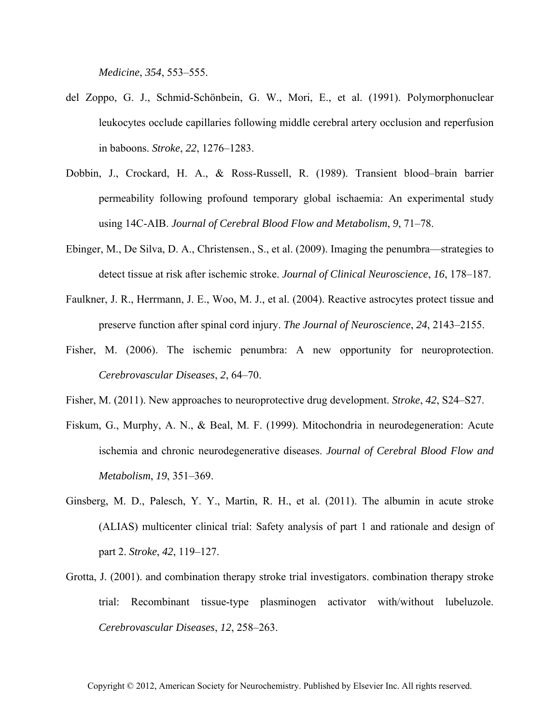*Medicine*, *354*, 553–555.

- del Zoppo, G. J., Schmid-Schönbein, G. W., Mori, E., et al. (1991). Polymorphonuclear leukocytes occlude capillaries following middle cerebral artery occlusion and reperfusion in baboons. *Stroke*, *22*, 1276–1283.
- Dobbin, J., Crockard, H. A., & Ross-Russell, R. (1989). Transient blood–brain barrier permeability following profound temporary global ischaemia: An experimental study using 14C-AIB. *Journal of Cerebral Blood Flow and Metabolism*, *9*, 71–78.
- Ebinger, M., De Silva, D. A., Christensen., S., et al. (2009). Imaging the penumbra—strategies to detect tissue at risk after ischemic stroke. *Journal of Clinical Neuroscience*, *16*, 178–187.
- Faulkner, J. R., Herrmann, J. E., Woo, M. J., et al. (2004). Reactive astrocytes protect tissue and preserve function after spinal cord injury. *The Journal of Neuroscience*, *24*, 2143–2155.
- Fisher, M. (2006). The ischemic penumbra: A new opportunity for neuroprotection. *Cerebrovascular Diseases*, *2*, 64–70.
- Fisher, M. (2011). New approaches to neuroprotective drug development. *Stroke*, *42*, S24–S27.
- Fiskum, G., Murphy, A. N., & Beal, M. F. (1999). Mitochondria in neurodegeneration: Acute ischemia and chronic neurodegenerative diseases. *Journal of Cerebral Blood Flow and Metabolism*, *19*, 351–369.
- Ginsberg, M. D., Palesch, Y. Y., Martin, R. H., et al. (2011). The albumin in acute stroke (ALIAS) multicenter clinical trial: Safety analysis of part 1 and rationale and design of part 2. *Stroke*, *42*, 119–127.
- Grotta, J. (2001). and combination therapy stroke trial investigators. combination therapy stroke trial: Recombinant tissue-type plasminogen activator with/without lubeluzole. *Cerebrovascular Diseases*, *12*, 258–263.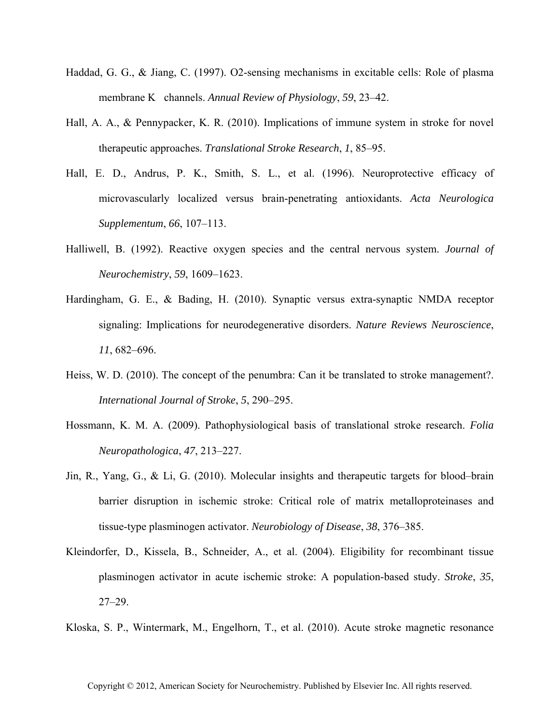- Haddad, G. G., & Jiang, C. (1997). O2-sensing mechanisms in excitable cells: Role of plasma membrane K channels. *Annual Review of Physiology*, *59*, 23–42.
- Hall, A. A., & Pennypacker, K. R. (2010). Implications of immune system in stroke for novel therapeutic approaches. *Translational Stroke Research*, *1*, 85–95.
- Hall, E. D., Andrus, P. K., Smith, S. L., et al. (1996). Neuroprotective efficacy of microvascularly localized versus brain-penetrating antioxidants. *Acta Neurologica Supplementum*, *66*, 107–113.
- Halliwell, B. (1992). Reactive oxygen species and the central nervous system. *Journal of Neurochemistry*, *59*, 1609–1623.
- Hardingham, G. E., & Bading, H. (2010). Synaptic versus extra-synaptic NMDA receptor signaling: Implications for neurodegenerative disorders. *Nature Reviews Neuroscience*, *11*, 682–696.
- Heiss, W. D. (2010). The concept of the penumbra: Can it be translated to stroke management?. *International Journal of Stroke*, *5*, 290–295.
- Hossmann, K. M. A. (2009). Pathophysiological basis of translational stroke research. *Folia Neuropathologica*, *47*, 213–227.
- Jin, R., Yang, G., & Li, G. (2010). Molecular insights and therapeutic targets for blood–brain barrier disruption in ischemic stroke: Critical role of matrix metalloproteinases and tissue-type plasminogen activator. *Neurobiology of Disease*, *38*, 376–385.
- Kleindorfer, D., Kissela, B., Schneider, A., et al. (2004). Eligibility for recombinant tissue plasminogen activator in acute ischemic stroke: A population-based study. *Stroke*, *35*, 27–29.
- Kloska, S. P., Wintermark, M., Engelhorn, T., et al. (2010). Acute stroke magnetic resonance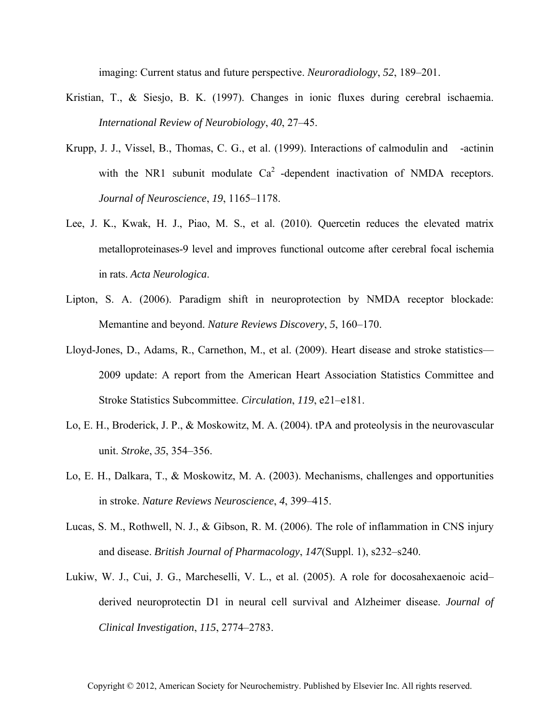imaging: Current status and future perspective. *Neuroradiology*, *52*, 189–201.

- Kristian, T., & Siesjo, B. K. (1997). Changes in ionic fluxes during cerebral ischaemia. *International Review of Neurobiology*, *40*, 27–45.
- Krupp, J. J., Vissel, B., Thomas, C. G., et al. (1999). Interactions of calmodulin and -actinin with the NR1 subunit modulate  $Ca<sup>2</sup>$  -dependent inactivation of NMDA receptors. *Journal of Neuroscience*, *19*, 1165–1178.
- Lee, J. K., Kwak, H. J., Piao, M. S., et al. (2010). Quercetin reduces the elevated matrix metalloproteinases-9 level and improves functional outcome after cerebral focal ischemia in rats. *Acta Neurologica*.
- Lipton, S. A. (2006). Paradigm shift in neuroprotection by NMDA receptor blockade: Memantine and beyond. *Nature Reviews Discovery*, *5*, 160–170.
- Lloyd-Jones, D., Adams, R., Carnethon, M., et al. (2009). Heart disease and stroke statistics— 2009 update: A report from the American Heart Association Statistics Committee and Stroke Statistics Subcommittee. *Circulation*, *119*, e21–e181.
- Lo, E. H., Broderick, J. P., & Moskowitz, M. A. (2004). tPA and proteolysis in the neurovascular unit. *Stroke*, *35*, 354–356.
- Lo, E. H., Dalkara, T., & Moskowitz, M. A. (2003). Mechanisms, challenges and opportunities in stroke. *Nature Reviews Neuroscience*, *4*, 399–415.
- Lucas, S. M., Rothwell, N. J., & Gibson, R. M. (2006). The role of inflammation in CNS injury and disease. *British Journal of Pharmacology*, *147*(Suppl. 1), s232–s240.
- Lukiw, W. J., Cui, J. G., Marcheselli, V. L., et al. (2005). A role for docosahexaenoic acid– derived neuroprotectin D1 in neural cell survival and Alzheimer disease. *Journal of Clinical Investigation*, *115*, 2774–2783.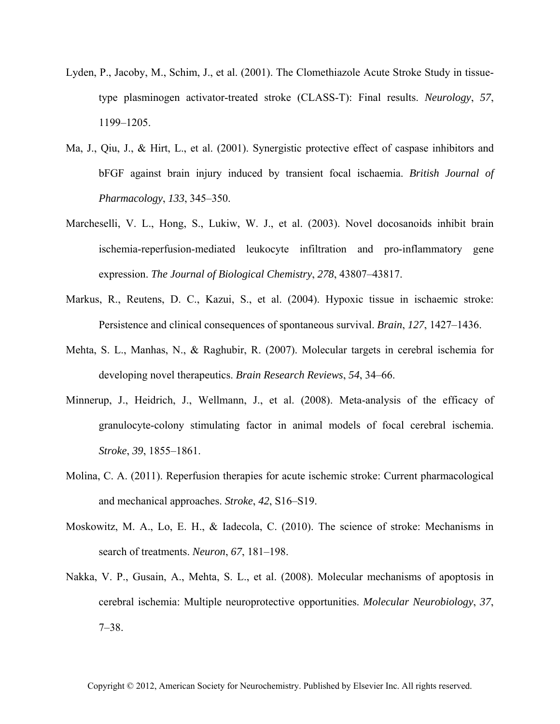- Lyden, P., Jacoby, M., Schim, J., et al. (2001). The Clomethiazole Acute Stroke Study in tissuetype plasminogen activator-treated stroke (CLASS-T): Final results. *Neurology*, *57*, 1199–1205.
- Ma, J., Qiu, J., & Hirt, L., et al. (2001). Synergistic protective effect of caspase inhibitors and bFGF against brain injury induced by transient focal ischaemia. *British Journal of Pharmacology*, *133*, 345–350.
- Marcheselli, V. L., Hong, S., Lukiw, W. J., et al. (2003). Novel docosanoids inhibit brain ischemia-reperfusion-mediated leukocyte infiltration and pro-inflammatory gene expression. *The Journal of Biological Chemistry*, *278*, 43807–43817.
- Markus, R., Reutens, D. C., Kazui, S., et al. (2004). Hypoxic tissue in ischaemic stroke: Persistence and clinical consequences of spontaneous survival. *Brain*, *127*, 1427–1436.
- Mehta, S. L., Manhas, N., & Raghubir, R. (2007). Molecular targets in cerebral ischemia for developing novel therapeutics. *Brain Research Reviews*, *54*, 34–66.
- Minnerup, J., Heidrich, J., Wellmann, J., et al. (2008). Meta-analysis of the efficacy of granulocyte-colony stimulating factor in animal models of focal cerebral ischemia. *Stroke*, *39*, 1855–1861.
- Molina, C. A. (2011). Reperfusion therapies for acute ischemic stroke: Current pharmacological and mechanical approaches. *Stroke*, *42*, S16–S19.
- Moskowitz, M. A., Lo, E. H., & Iadecola, C. (2010). The science of stroke: Mechanisms in search of treatments. *Neuron*, *67*, 181–198.
- Nakka, V. P., Gusain, A., Mehta, S. L., et al. (2008). Molecular mechanisms of apoptosis in cerebral ischemia: Multiple neuroprotective opportunities. *Molecular Neurobiology*, *37*, 7–38.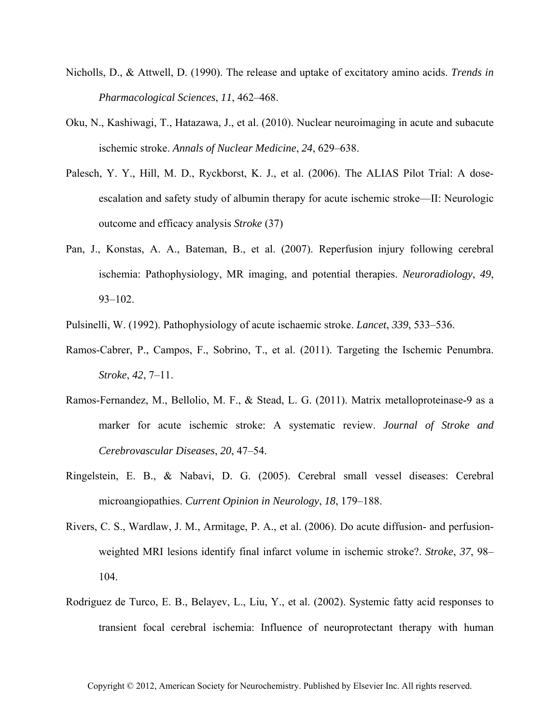- Nicholls, D., & Attwell, D. (1990). The release and uptake of excitatory amino acids. *Trends in Pharmacological Sciences*, *11*, 462–468.
- Oku, N., Kashiwagi, T., Hatazawa, J., et al. (2010). Nuclear neuroimaging in acute and subacute ischemic stroke. *Annals of Nuclear Medicine*, *24*, 629–638.
- Palesch, Y. Y., Hill, M. D., Ryckborst, K. J., et al. (2006). The ALIAS Pilot Trial: A doseescalation and safety study of albumin therapy for acute ischemic stroke—II: Neurologic outcome and efficacy analysis *Stroke* (37)
- Pan, J., Konstas, A. A., Bateman, B., et al. (2007). Reperfusion injury following cerebral ischemia: Pathophysiology, MR imaging, and potential therapies. *Neuroradiology*, *49*, 93–102.
- Pulsinelli, W. (1992). Pathophysiology of acute ischaemic stroke. *Lancet*, *339*, 533–536.
- Ramos-Cabrer, P., Campos, F., Sobrino, T., et al. (2011). Targeting the Ischemic Penumbra. *Stroke*, *42*, 7–11.
- Ramos-Fernandez, M., Bellolio, M. F., & Stead, L. G. (2011). Matrix metalloproteinase-9 as a marker for acute ischemic stroke: A systematic review. *Journal of Stroke and Cerebrovascular Diseases*, *20*, 47–54.
- Ringelstein, E. B., & Nabavi, D. G. (2005). Cerebral small vessel diseases: Cerebral microangiopathies. *Current Opinion in Neurology*, *18*, 179–188.
- Rivers, C. S., Wardlaw, J. M., Armitage, P. A., et al. (2006). Do acute diffusion- and perfusionweighted MRI lesions identify final infarct volume in ischemic stroke?. *Stroke*, *37*, 98– 104.
- Rodriguez de Turco, E. B., Belayev, L., Liu, Y., et al. (2002). Systemic fatty acid responses to transient focal cerebral ischemia: Influence of neuroprotectant therapy with human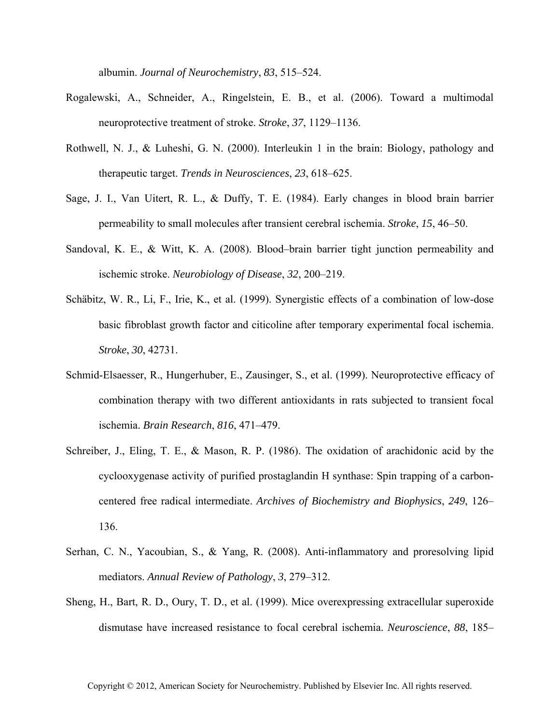albumin. *Journal of Neurochemistry*, *83*, 515–524.

- Rogalewski, A., Schneider, A., Ringelstein, E. B., et al. (2006). Toward a multimodal neuroprotective treatment of stroke. *Stroke*, *37*, 1129–1136.
- Rothwell, N. J., & Luheshi, G. N. (2000). Interleukin 1 in the brain: Biology, pathology and therapeutic target. *Trends in Neurosciences*, *23*, 618–625.
- Sage, J. I., Van Uitert, R. L., & Duffy, T. E. (1984). Early changes in blood brain barrier permeability to small molecules after transient cerebral ischemia. *Stroke*, *15*, 46–50.
- Sandoval, K. E., & Witt, K. A. (2008). Blood–brain barrier tight junction permeability and ischemic stroke. *Neurobiology of Disease*, *32*, 200–219.
- Schäbitz, W. R., Li, F., Irie, K., et al. (1999). Synergistic effects of a combination of low-dose basic fibroblast growth factor and citicoline after temporary experimental focal ischemia. *Stroke*, *30*, 42731.
- Schmid-Elsaesser, R., Hungerhuber, E., Zausinger, S., et al. (1999). Neuroprotective efficacy of combination therapy with two different antioxidants in rats subjected to transient focal ischemia. *Brain Research*, *816*, 471–479.
- Schreiber, J., Eling, T. E., & Mason, R. P. (1986). The oxidation of arachidonic acid by the cyclooxygenase activity of purified prostaglandin H synthase: Spin trapping of a carboncentered free radical intermediate. *Archives of Biochemistry and Biophysics*, *249*, 126– 136.
- Serhan, C. N., Yacoubian, S., & Yang, R. (2008). Anti-inflammatory and proresolving lipid mediators. *Annual Review of Pathology*, *3*, 279–312.
- Sheng, H., Bart, R. D., Oury, T. D., et al. (1999). Mice overexpressing extracellular superoxide dismutase have increased resistance to focal cerebral ischemia. *Neuroscience*, *88*, 185–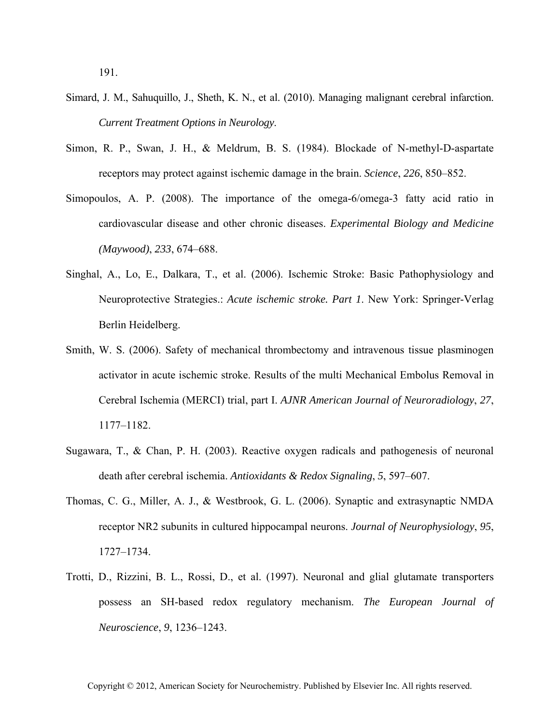191.

- Simard, J. M., Sahuquillo, J., Sheth, K. N., et al. (2010). Managing malignant cerebral infarction. *Current Treatment Options in Neurology*.
- Simon, R. P., Swan, J. H., & Meldrum, B. S. (1984). Blockade of N-methyl-D-aspartate receptors may protect against ischemic damage in the brain. *Science*, *226*, 850–852.
- Simopoulos, A. P. (2008). The importance of the omega-6/omega-3 fatty acid ratio in cardiovascular disease and other chronic diseases. *Experimental Biology and Medicine (Maywood)*, *233*, 674–688.
- Singhal, A., Lo, E., Dalkara, T., et al. (2006). Ischemic Stroke: Basic Pathophysiology and Neuroprotective Strategies.: *Acute ischemic stroke. Part 1*. New York: Springer-Verlag Berlin Heidelberg.
- Smith, W. S. (2006). Safety of mechanical thrombectomy and intravenous tissue plasminogen activator in acute ischemic stroke. Results of the multi Mechanical Embolus Removal in Cerebral Ischemia (MERCI) trial, part I. *AJNR American Journal of Neuroradiology*, *27*, 1177–1182.
- Sugawara, T., & Chan, P. H. (2003). Reactive oxygen radicals and pathogenesis of neuronal death after cerebral ischemia. *Antioxidants & Redox Signaling*, *5*, 597–607.
- Thomas, C. G., Miller, A. J., & Westbrook, G. L. (2006). Synaptic and extrasynaptic NMDA receptor NR2 subunits in cultured hippocampal neurons. *Journal of Neurophysiology*, *95*, 1727–1734.
- Trotti, D., Rizzini, B. L., Rossi, D., et al. (1997). Neuronal and glial glutamate transporters possess an SH-based redox regulatory mechanism. *The European Journal of Neuroscience*, *9*, 1236–1243.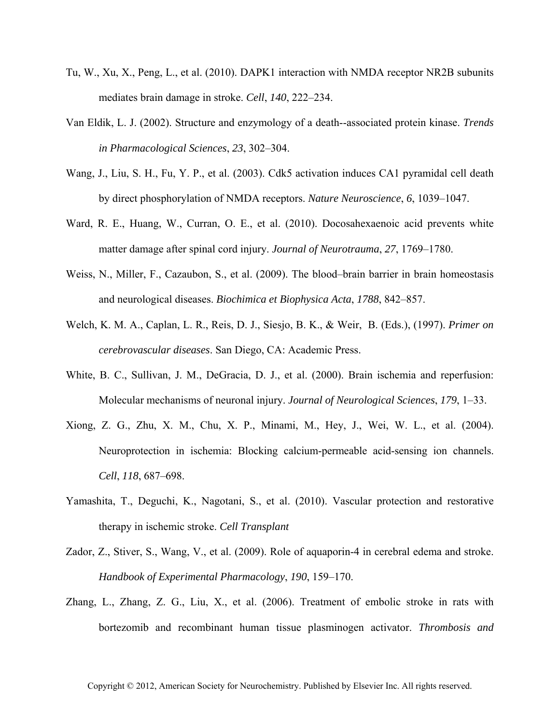- Tu, W., Xu, X., Peng, L., et al. (2010). DAPK1 interaction with NMDA receptor NR2B subunits mediates brain damage in stroke. *Cell*, *140*, 222–234.
- Van Eldik, L. J. (2002). Structure and enzymology of a death--associated protein kinase. *Trends in Pharmacological Sciences*, *23*, 302–304.
- Wang, J., Liu, S. H., Fu, Y. P., et al. (2003). Cdk5 activation induces CA1 pyramidal cell death by direct phosphorylation of NMDA receptors. *Nature Neuroscience*, *6*, 1039–1047.
- Ward, R. E., Huang, W., Curran, O. E., et al. (2010). Docosahexaenoic acid prevents white matter damage after spinal cord injury. *Journal of Neurotrauma*, *27*, 1769–1780.
- Weiss, N., Miller, F., Cazaubon, S., et al. (2009). The blood–brain barrier in brain homeostasis and neurological diseases. *Biochimica et Biophysica Acta*, *1788*, 842–857.
- Welch, K. M. A., Caplan, L. R., Reis, D. J., Siesjo, B. K., & Weir, B. (Eds.), (1997). *Primer on cerebrovascular diseases*. San Diego, CA: Academic Press.
- White, B. C., Sullivan, J. M., DeGracia, D. J., et al. (2000). Brain ischemia and reperfusion: Molecular mechanisms of neuronal injury. *Journal of Neurological Sciences*, *179*, 1–33.
- Xiong, Z. G., Zhu, X. M., Chu, X. P., Minami, M., Hey, J., Wei, W. L., et al. (2004). Neuroprotection in ischemia: Blocking calcium-permeable acid-sensing ion channels. *Cell*, *118*, 687–698.
- Yamashita, T., Deguchi, K., Nagotani, S., et al. (2010). Vascular protection and restorative therapy in ischemic stroke. *Cell Transplant*
- Zador, Z., Stiver, S., Wang, V., et al. (2009). Role of aquaporin-4 in cerebral edema and stroke. *Handbook of Experimental Pharmacology*, *190*, 159–170.
- Zhang, L., Zhang, Z. G., Liu, X., et al. (2006). Treatment of embolic stroke in rats with bortezomib and recombinant human tissue plasminogen activator. *Thrombosis and*